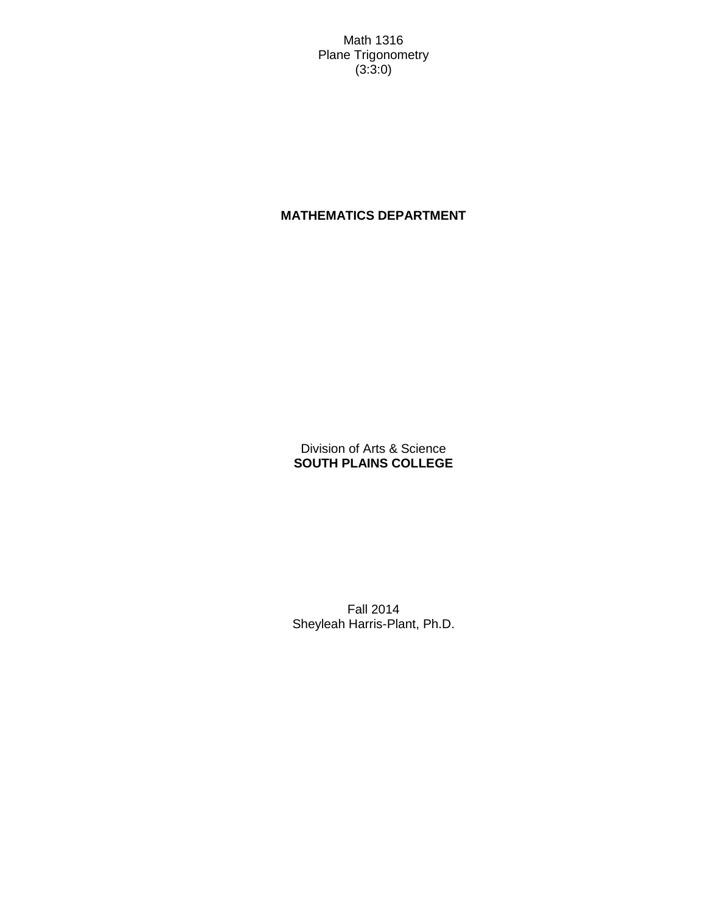Math 1316 Plane Trigonometry (3:3:0)

# **MATHEMATICS DEPARTMENT**

Division of Arts & Science **SOUTH PLAINS COLLEGE**

Fall 2014 Sheyleah Harris-Plant, Ph.D.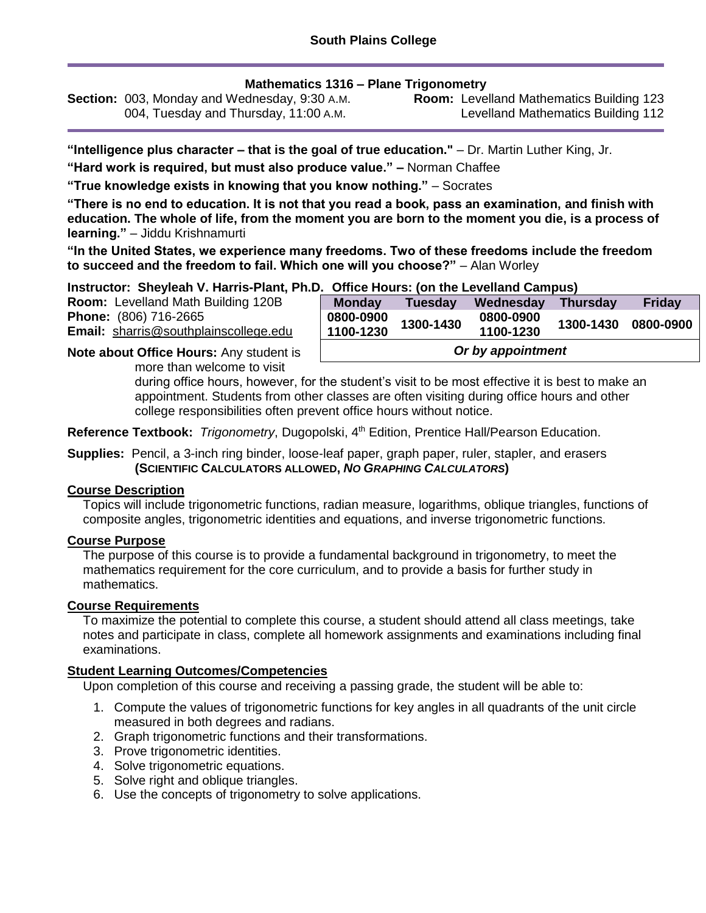# **Mathematics 1316 – Plane Trigonometry**

**Section:** 003, Monday and Wednesday, 9:30 A.M. 004, Tuesday and Thursday, 11:00 A.M.

**Room:** Levelland Mathematics Building 123 Levelland Mathematics Building 112

**"Intelligence plus character – that is the goal of true education."** – Dr. Martin Luther King, Jr.

**"Hard work is required, but must also produce value." –** Norman Chaffee

**"True knowledge exists in knowing that you know nothing."** – Socrates

**"There is no end to education. It is not that you read a book, pass an examination, and finish with education. The whole of life, from the moment you are born to the moment you die, is a process of learning."** – Jiddu Krishnamurti

**"In the United States, we experience many freedoms. Two of these freedoms include the freedom to succeed and the freedom to fail. Which one will you choose?"** – Alan Worley

**Instructor: Sheyleah V. Harris-Plant, Ph.D. Office Hours: (on the Levelland Campus)**

| Room: Levelland Math Building 120B           |
|----------------------------------------------|
| <b>Phone:</b> (806) 716-2665                 |
| <b>Email:</b> sharris@southplainscollege.edu |

| $\sim$ only from $\sim$ ton the Levenand Campus $\sim$<br><b>Monday</b> | <b>Tuesday</b> | Wednesday              | <b>Thursday</b> | <b>Friday</b> |  |  |
|-------------------------------------------------------------------------|----------------|------------------------|-----------------|---------------|--|--|
| 0800-0900<br>1100-1230                                                  | 1300-1430      | 0800-0900<br>1100-1230 | 1300-1430       | 0800-0900     |  |  |
| Or by appointment                                                       |                |                        |                 |               |  |  |

**Note about Office Hours:** Any student is more than welcome to visit

> during office hours, however, for the student's visit to be most effective it is best to make an appointment. Students from other classes are often visiting during office hours and other college responsibilities often prevent office hours without notice.

Reference Textbook: Trigonometry, Dugopolski, 4<sup>th</sup> Edition, Prentice Hall/Pearson Education.

#### **Supplies:** Pencil, a 3-inch ring binder, loose-leaf paper, graph paper, ruler, stapler, and erasers **(SCIENTIFIC CALCULATORS ALLOWED,** *NO GRAPHING CALCULATORS***)**

# **Course Description**

Topics will include trigonometric functions, radian measure, logarithms, oblique triangles, functions of composite angles, trigonometric identities and equations, and inverse trigonometric functions.

# **Course Purpose**

The purpose of this course is to provide a fundamental background in trigonometry, to meet the mathematics requirement for the core curriculum, and to provide a basis for further study in mathematics.

# **Course Requirements**

To maximize the potential to complete this course, a student should attend all class meetings, take notes and participate in class, complete all homework assignments and examinations including final examinations.

# **Student Learning Outcomes/Competencies**

Upon completion of this course and receiving a passing grade, the student will be able to:

- 1. Compute the values of trigonometric functions for key angles in all quadrants of the unit circle measured in both degrees and radians.
- 2. Graph trigonometric functions and their transformations.
- 3. Prove trigonometric identities.
- 4. Solve trigonometric equations.
- 5. Solve right and oblique triangles.
- 6. Use the concepts of trigonometry to solve applications.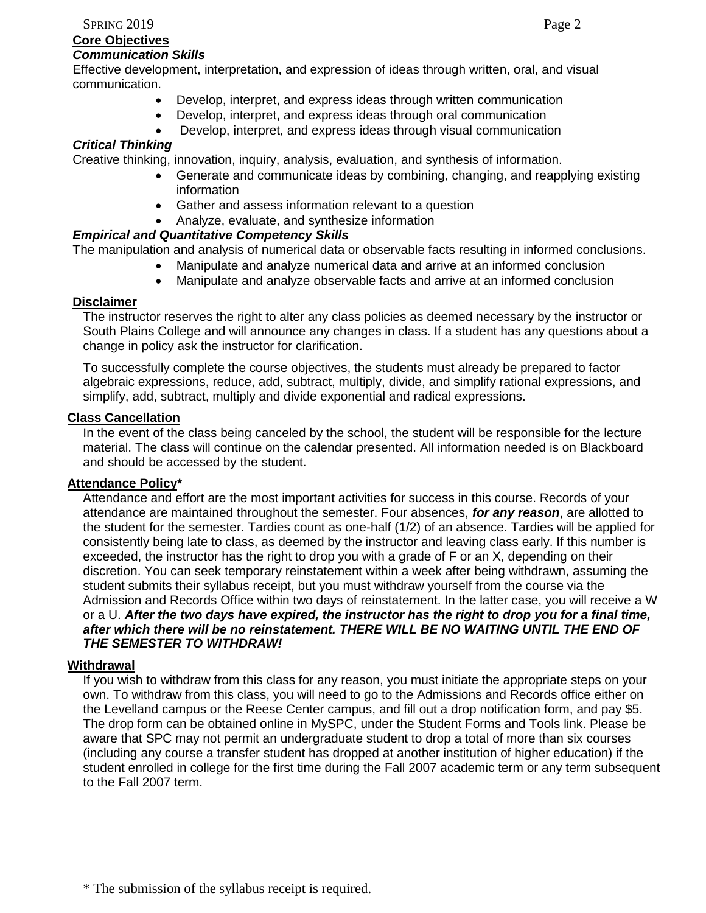#### **Core Objectives** *Communication Skills*

Effective development, interpretation, and expression of ideas through written, oral, and visual communication.

- Develop, interpret, and express ideas through written communication
- Develop, interpret, and express ideas through oral communication
- Develop, interpret, and express ideas through visual communication

### *Critical Thinking*

Creative thinking, innovation, inquiry, analysis, evaluation, and synthesis of information.

- Generate and communicate ideas by combining, changing, and reapplying existing information
- Gather and assess information relevant to a question
- Analyze, evaluate, and synthesize information

# *Empirical and Quantitative Competency Skills*

The manipulation and analysis of numerical data or observable facts resulting in informed conclusions.

- Manipulate and analyze numerical data and arrive at an informed conclusion
- Manipulate and analyze observable facts and arrive at an informed conclusion

#### **Disclaimer**

The instructor reserves the right to alter any class policies as deemed necessary by the instructor or South Plains College and will announce any changes in class. If a student has any questions about a change in policy ask the instructor for clarification.

To successfully complete the course objectives, the students must already be prepared to factor algebraic expressions, reduce, add, subtract, multiply, divide, and simplify rational expressions, and simplify, add, subtract, multiply and divide exponential and radical expressions.

#### **Class Cancellation**

In the event of the class being canceled by the school, the student will be responsible for the lecture material. The class will continue on the calendar presented. All information needed is on Blackboard and should be accessed by the student.

#### **Attendance Policy\***

Attendance and effort are the most important activities for success in this course. Records of your attendance are maintained throughout the semester. Four absences, *for any reason*, are allotted to the student for the semester. Tardies count as one-half (1/2) of an absence. Tardies will be applied for consistently being late to class, as deemed by the instructor and leaving class early. If this number is exceeded, the instructor has the right to drop you with a grade of F or an X, depending on their discretion. You can seek temporary reinstatement within a week after being withdrawn, assuming the student submits their syllabus receipt, but you must withdraw yourself from the course via the Admission and Records Office within two days of reinstatement. In the latter case, you will receive a W or a U. *After the two days have expired, the instructor has the right to drop you for a final time, after which there will be no reinstatement. THERE WILL BE NO WAITING UNTIL THE END OF THE SEMESTER TO WITHDRAW!*

### **Withdrawal**

If you wish to withdraw from this class for any reason, you must initiate the appropriate steps on your own. To withdraw from this class, you will need to go to the Admissions and Records office either on the Levelland campus or the Reese Center campus, and fill out a drop notification form, and pay \$5. The drop form can be obtained online in MySPC, under the Student Forms and Tools link. Please be aware that SPC may not permit an undergraduate student to drop a total of more than six courses (including any course a transfer student has dropped at another institution of higher education) if the student enrolled in college for the first time during the Fall 2007 academic term or any term subsequent to the Fall 2007 term.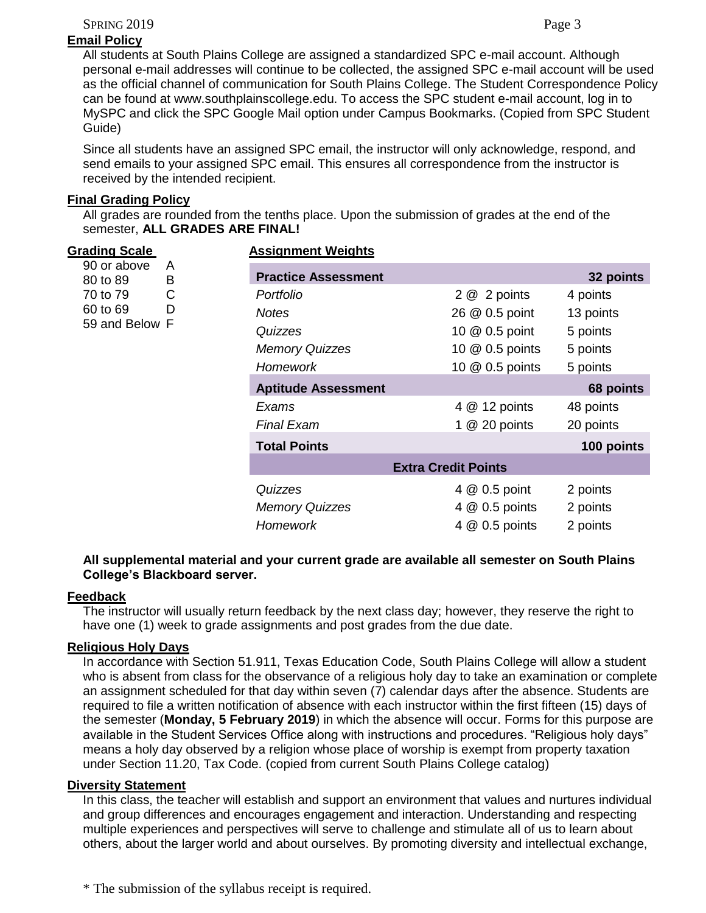SPRING 2019 Page 3

# **Email Policy**

All students at South Plains College are assigned a standardized SPC e-mail account. Although personal e-mail addresses will continue to be collected, the assigned SPC e-mail account will be used as the official channel of communication for South Plains College. The Student Correspondence Policy can be found at www.southplainscollege.edu. To access the SPC student e-mail account, log in to MySPC and click the SPC Google Mail option under Campus Bookmarks. (Copied from SPC Student Guide)

Since all students have an assigned SPC email, the instructor will only acknowledge, respond, and send emails to your assigned SPC email. This ensures all correspondence from the instructor is received by the intended recipient.

# **Final Grading Policy**

All grades are rounded from the tenths place. Upon the submission of grades at the end of the semester, **ALL GRADES ARE FINAL!**

| <b>Grading Scale</b><br>90 or above<br>A<br>B<br>80 to 89 | <b>Assignment Weights</b> |                            |                            |            |
|-----------------------------------------------------------|---------------------------|----------------------------|----------------------------|------------|
|                                                           |                           | <b>Practice Assessment</b> |                            | 32 points  |
| 70 to 79                                                  | C                         | Portfolio                  | 2 @ 2 points               | 4 points   |
| 60 to 69                                                  | D                         | <b>Notes</b>               | 26 @ 0.5 point             | 13 points  |
| 59 and Below F                                            |                           | Quizzes                    | 10 @ 0.5 point             | 5 points   |
|                                                           |                           | <b>Memory Quizzes</b>      | 10 @ 0.5 points            | 5 points   |
|                                                           | Homework                  | 10 @ 0.5 points            | 5 points                   |            |
|                                                           |                           | <b>Aptitude Assessment</b> |                            | 68 points  |
|                                                           |                           | Exams                      | 4 @ 12 points              | 48 points  |
|                                                           |                           | <b>Final Exam</b>          | 1 $@$ 20 points            | 20 points  |
|                                                           |                           | <b>Total Points</b>        |                            | 100 points |
|                                                           |                           |                            | <b>Extra Credit Points</b> |            |
|                                                           |                           | Quizzes                    | 4 @ 0.5 point              | 2 points   |
|                                                           |                           | <b>Memory Quizzes</b>      | 4 $@$ 0.5 points           | 2 points   |
|                                                           |                           | <b>Homework</b>            | 4 @ 0.5 points             | 2 points   |

# **All supplemental material and your current grade are available all semester on South Plains College's Blackboard server.**

# **Feedback**

The instructor will usually return feedback by the next class day; however, they reserve the right to have one (1) week to grade assignments and post grades from the due date.

# **Religious Holy Days**

In accordance with Section 51.911, Texas Education Code, South Plains College will allow a student who is absent from class for the observance of a religious holy day to take an examination or complete an assignment scheduled for that day within seven (7) calendar days after the absence. Students are required to file a written notification of absence with each instructor within the first fifteen (15) days of the semester (**Monday, 5 February 2019**) in which the absence will occur. Forms for this purpose are available in the Student Services Office along with instructions and procedures. "Religious holy days" means a holy day observed by a religion whose place of worship is exempt from property taxation under Section 11.20, Tax Code. (copied from current South Plains College catalog)

# **Diversity Statement**

In this class, the teacher will establish and support an environment that values and nurtures individual and group differences and encourages engagement and interaction. Understanding and respecting multiple experiences and perspectives will serve to challenge and stimulate all of us to learn about others, about the larger world and about ourselves. By promoting diversity and intellectual exchange,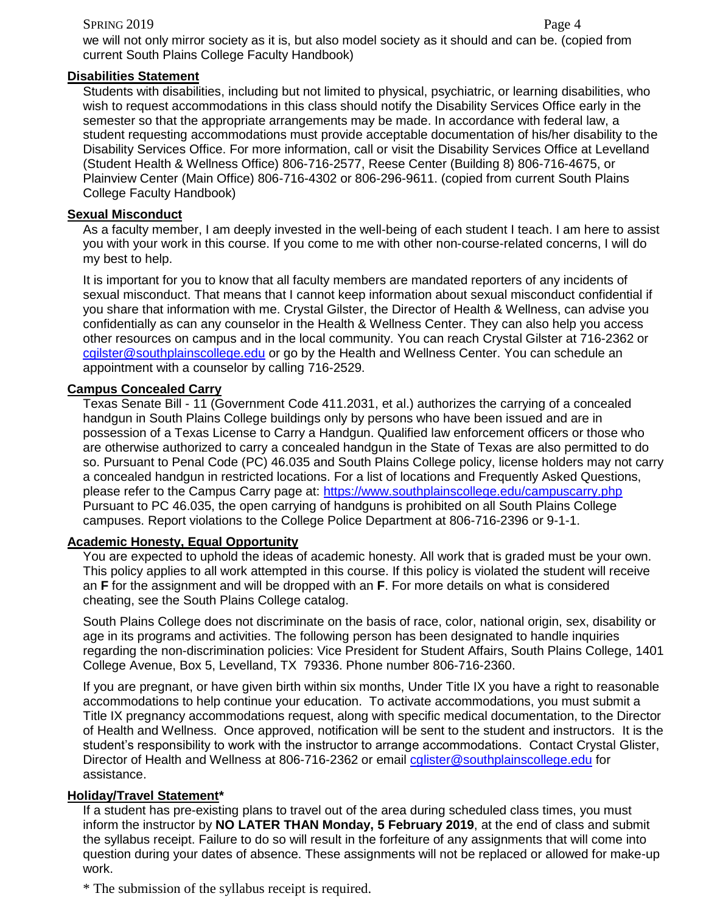#### SPRING 2019 Page 4

we will not only mirror society as it is, but also model society as it should and can be. (copied from current South Plains College Faculty Handbook)

# **Disabilities Statement**

Students with disabilities, including but not limited to physical, psychiatric, or learning disabilities, who wish to request accommodations in this class should notify the Disability Services Office early in the semester so that the appropriate arrangements may be made. In accordance with federal law, a student requesting accommodations must provide acceptable documentation of his/her disability to the Disability Services Office. For more information, call or visit the Disability Services Office at Levelland (Student Health & Wellness Office) 806-716-2577, Reese Center (Building 8) 806-716-4675, or Plainview Center (Main Office) 806-716-4302 or 806-296-9611. (copied from current South Plains College Faculty Handbook)

#### **Sexual Misconduct**

As a faculty member, I am deeply invested in the well-being of each student I teach. I am here to assist you with your work in this course. If you come to me with other non-course-related concerns, I will do my best to help.

It is important for you to know that all faculty members are mandated reporters of any incidents of sexual misconduct. That means that I cannot keep information about sexual misconduct confidential if you share that information with me. Crystal Gilster, the Director of Health & Wellness, can advise you confidentially as can any counselor in the Health & Wellness Center. They can also help you access other resources on campus and in the local community. You can reach Crystal Gilster at 716-2362 or [cgilster@southplainscollege.edu](mailto:cgilster@southplainscollege.edu) or go by the Health and Wellness Center. You can schedule an appointment with a counselor by calling 716-2529.

#### **Campus Concealed Carry**

Texas Senate Bill - 11 (Government Code 411.2031, et al.) authorizes the carrying of a concealed handgun in South Plains College buildings only by persons who have been issued and are in possession of a Texas License to Carry a Handgun. Qualified law enforcement officers or those who are otherwise authorized to carry a concealed handgun in the State of Texas are also permitted to do so. Pursuant to Penal Code (PC) 46.035 and South Plains College policy, license holders may not carry a concealed handgun in restricted locations. For a list of locations and Frequently Asked Questions, please refer to the Campus Carry page at: [https://www.southplainscollege.edu/campuscarry.php](http://www.southplainscollege.edu/campuscarry.php) Pursuant to PC 46.035, the open carrying of handguns is prohibited on all South Plains College campuses. Report violations to the College Police Department at 806-716-2396 or 9-1-1.

#### **Academic Honesty, Equal Opportunity**

You are expected to uphold the ideas of academic honesty. All work that is graded must be your own. This policy applies to all work attempted in this course. If this policy is violated the student will receive an **F** for the assignment and will be dropped with an **F**. For more details on what is considered cheating, see the South Plains College catalog.

South Plains College does not discriminate on the basis of race, color, national origin, sex, disability or age in its programs and activities. The following person has been designated to handle inquiries regarding the non-discrimination policies: Vice President for Student Affairs, South Plains College, 1401 College Avenue, Box 5, Levelland, TX 79336. Phone number 806-716-2360.

If you are pregnant, or have given birth within six months, Under Title IX you have a right to reasonable accommodations to help continue your education. To activate accommodations, you must submit a Title IX pregnancy accommodations request, along with specific medical documentation, to the Director of Health and Wellness. Once approved, notification will be sent to the student and instructors. It is the student's responsibility to work with the instructor to arrange accommodations. Contact Crystal Glister, Director of Health and Wellness at 806-716-2362 or email colister@southplainscollege.edu for assistance.

#### **Holiday/Travel Statement\***

If a student has pre-existing plans to travel out of the area during scheduled class times, you must inform the instructor by **NO LATER THAN Monday, 5 February 2019**, at the end of class and submit the syllabus receipt. Failure to do so will result in the forfeiture of any assignments that will come into question during your dates of absence. These assignments will not be replaced or allowed for make-up work.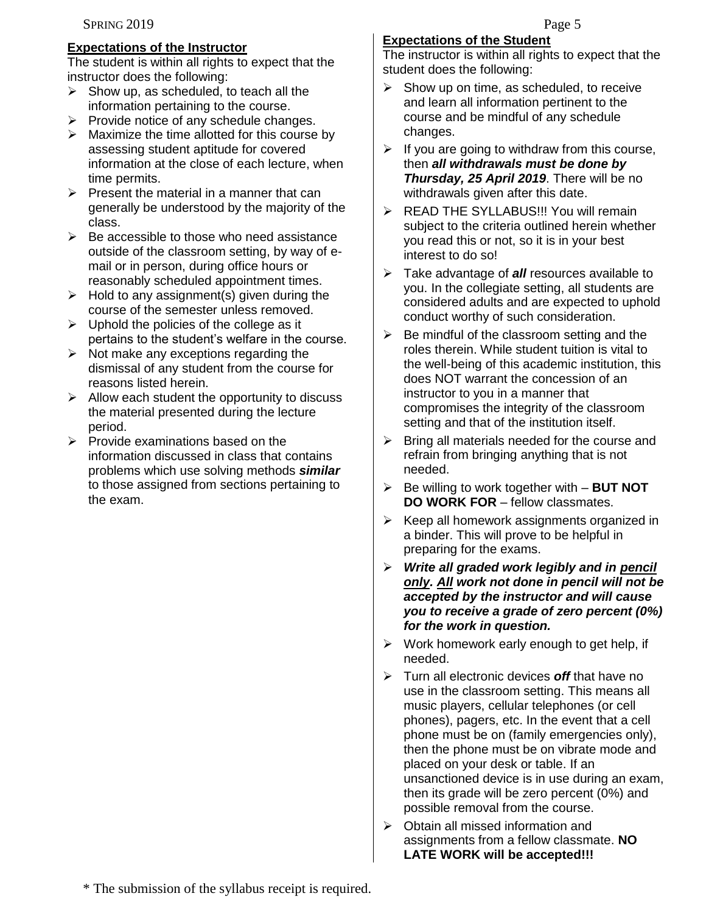# **Expectations of the Instructor**

The student is within all rights to expect that the instructor does the following:

- $\triangleright$  Show up, as scheduled, to teach all the information pertaining to the course.
- $\triangleright$  Provide notice of any schedule changes.
- $\triangleright$  Maximize the time allotted for this course by assessing student aptitude for covered information at the close of each lecture, when time permits.
- $\triangleright$  Present the material in a manner that can generally be understood by the majority of the class.
- $\triangleright$  Be accessible to those who need assistance outside of the classroom setting, by way of email or in person, during office hours or reasonably scheduled appointment times.
- $\triangleright$  Hold to any assignment(s) given during the course of the semester unless removed.
- $\triangleright$  Uphold the policies of the college as it pertains to the student's welfare in the course.
- $\triangleright$  Not make any exceptions regarding the dismissal of any student from the course for reasons listed herein.
- $\triangleright$  Allow each student the opportunity to discuss the material presented during the lecture period.
- $\triangleright$  Provide examinations based on the information discussed in class that contains problems which use solving methods *similar* to those assigned from sections pertaining to the exam.

# **Expectations of the Student**

The instructor is within all rights to expect that the student does the following:

- $\triangleright$  Show up on time, as scheduled, to receive and learn all information pertinent to the course and be mindful of any schedule changes.
- $\triangleright$  If you are going to withdraw from this course, then *all withdrawals must be done by Thursday, 25 April 2019*. There will be no withdrawals given after this date.
- **EXAGE THE SYLLABUS!!! You will remain** subject to the criteria outlined herein whether you read this or not, so it is in your best interest to do so!
- Take advantage of *all* resources available to you. In the collegiate setting, all students are considered adults and are expected to uphold conduct worthy of such consideration.
- $\triangleright$  Be mindful of the classroom setting and the roles therein. While student tuition is vital to the well-being of this academic institution, this does NOT warrant the concession of an instructor to you in a manner that compromises the integrity of the classroom setting and that of the institution itself.
- $\triangleright$  Bring all materials needed for the course and refrain from bringing anything that is not needed.
- Be willing to work together with **BUT NOT DO WORK FOR** – fellow classmates.
- $\triangleright$  Keep all homework assignments organized in a binder. This will prove to be helpful in preparing for the exams.
- *Write all graded work legibly and in pencil only. All work not done in pencil will not be accepted by the instructor and will cause you to receive a grade of zero percent (0%) for the work in question.*
- $\triangleright$  Work homework early enough to get help, if needed.
- Turn all electronic devices *off* that have no use in the classroom setting. This means all music players, cellular telephones (or cell phones), pagers, etc. In the event that a cell phone must be on (family emergencies only), then the phone must be on vibrate mode and placed on your desk or table. If an unsanctioned device is in use during an exam, then its grade will be zero percent (0%) and possible removal from the course.
- Obtain all missed information and assignments from a fellow classmate. **NO LATE WORK will be accepted!!!**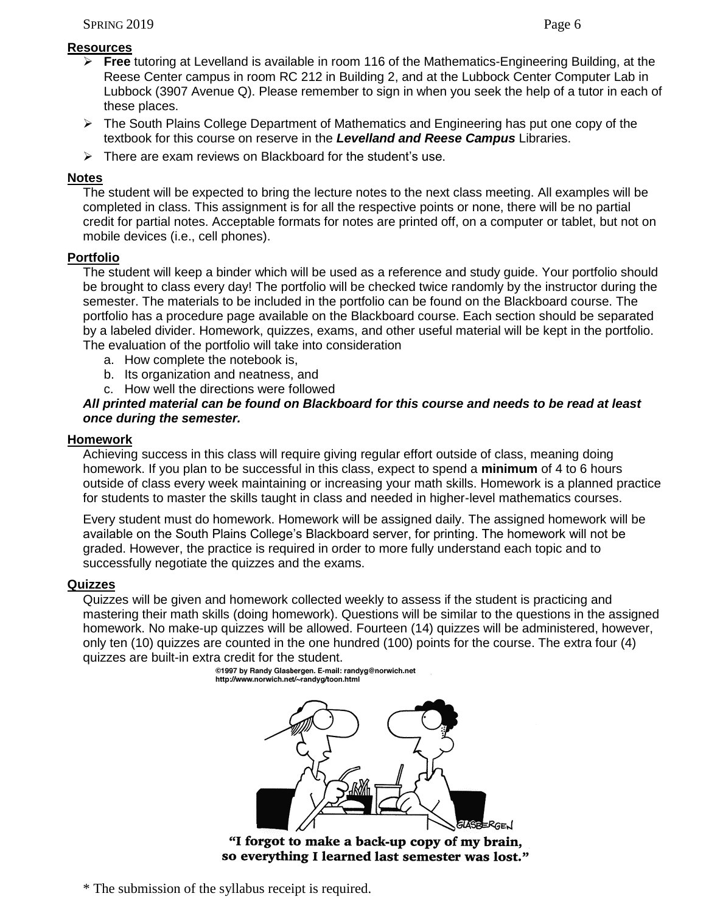# **Resources**

- **Free** tutoring at Levelland is available in room 116 of the Mathematics-Engineering Building, at the Reese Center campus in room RC 212 in Building 2, and at the Lubbock Center Computer Lab in Lubbock (3907 Avenue Q). Please remember to sign in when you seek the help of a tutor in each of these places.
- ▶ The South Plains College Department of Mathematics and Engineering has put one copy of the textbook for this course on reserve in the *Levelland and Reese Campus* Libraries.
- $\triangleright$  There are exam reviews on Blackboard for the student's use.

# **Notes**

The student will be expected to bring the lecture notes to the next class meeting. All examples will be completed in class. This assignment is for all the respective points or none, there will be no partial credit for partial notes. Acceptable formats for notes are printed off, on a computer or tablet, but not on mobile devices (i.e., cell phones).

# **Portfolio**

The student will keep a binder which will be used as a reference and study guide. Your portfolio should be brought to class every day! The portfolio will be checked twice randomly by the instructor during the semester. The materials to be included in the portfolio can be found on the Blackboard course. The portfolio has a procedure page available on the Blackboard course. Each section should be separated by a labeled divider. Homework, quizzes, exams, and other useful material will be kept in the portfolio. The evaluation of the portfolio will take into consideration

- a. How complete the notebook is,
- b. Its organization and neatness, and
- c. How well the directions were followed

# *All printed material can be found on Blackboard for this course and needs to be read at least once during the semester.*

# **Homework**

Achieving success in this class will require giving regular effort outside of class, meaning doing homework. If you plan to be successful in this class, expect to spend a **minimum** of 4 to 6 hours outside of class every week maintaining or increasing your math skills. Homework is a planned practice for students to master the skills taught in class and needed in higher-level mathematics courses.

Every student must do homework. Homework will be assigned daily. The assigned homework will be available on the South Plains College's Blackboard server, for printing. The homework will not be graded. However, the practice is required in order to more fully understand each topic and to successfully negotiate the quizzes and the exams.

# **Quizzes**

Quizzes will be given and homework collected weekly to assess if the student is practicing and mastering their math skills (doing homework). Questions will be similar to the questions in the assigned homework. No make-up quizzes will be allowed. Fourteen (14) quizzes will be administered, however, only ten (10) quizzes are counted in the one hundred (100) points for the course. The extra four (4) quizzes are built-in extra credit for the student.<br>
<sup>@1997</sup> by Randy Glasbergen. E-mail: randyg@norwich.net



so everything I learned last semester was lost."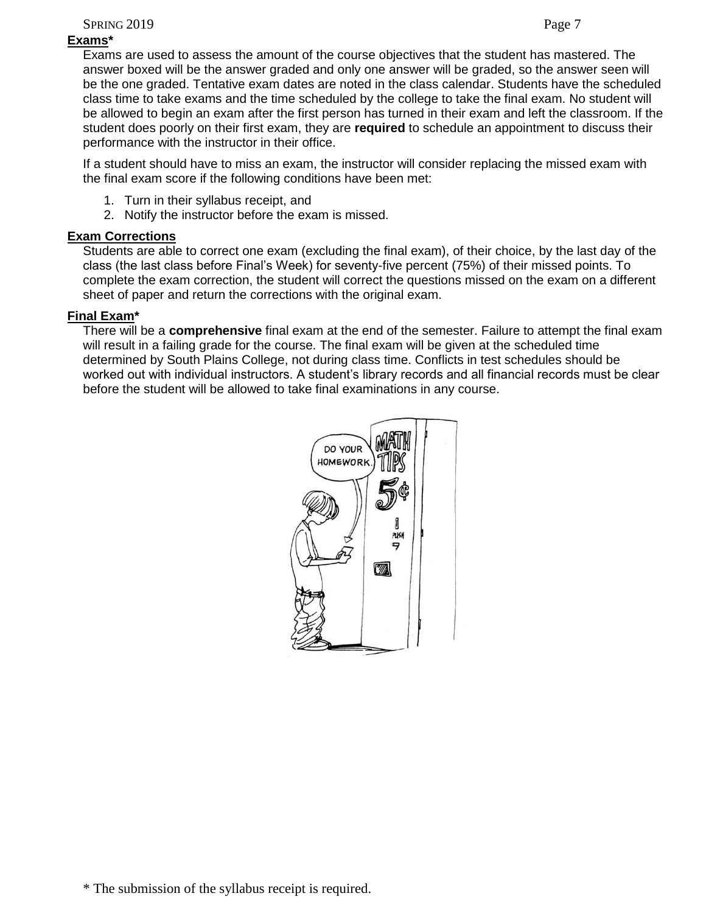SPRING 2019 Page 7

# **Exams\***

Exams are used to assess the amount of the course objectives that the student has mastered. The answer boxed will be the answer graded and only one answer will be graded, so the answer seen will be the one graded. Tentative exam dates are noted in the class calendar. Students have the scheduled class time to take exams and the time scheduled by the college to take the final exam. No student will be allowed to begin an exam after the first person has turned in their exam and left the classroom. If the student does poorly on their first exam, they are **required** to schedule an appointment to discuss their performance with the instructor in their office.

If a student should have to miss an exam, the instructor will consider replacing the missed exam with the final exam score if the following conditions have been met:

- 1. Turn in their syllabus receipt, and
- 2. Notify the instructor before the exam is missed.

# **Exam Corrections**

Students are able to correct one exam (excluding the final exam), of their choice, by the last day of the class (the last class before Final's Week) for seventy-five percent (75%) of their missed points. To complete the exam correction, the student will correct the questions missed on the exam on a different sheet of paper and return the corrections with the original exam.

# **Final Exam\***

There will be a **comprehensive** final exam at the end of the semester. Failure to attempt the final exam will result in a failing grade for the course. The final exam will be given at the scheduled time determined by South Plains College, not during class time. Conflicts in test schedules should be worked out with individual instructors. A student's library records and all financial records must be clear before the student will be allowed to take final examinations in any course.

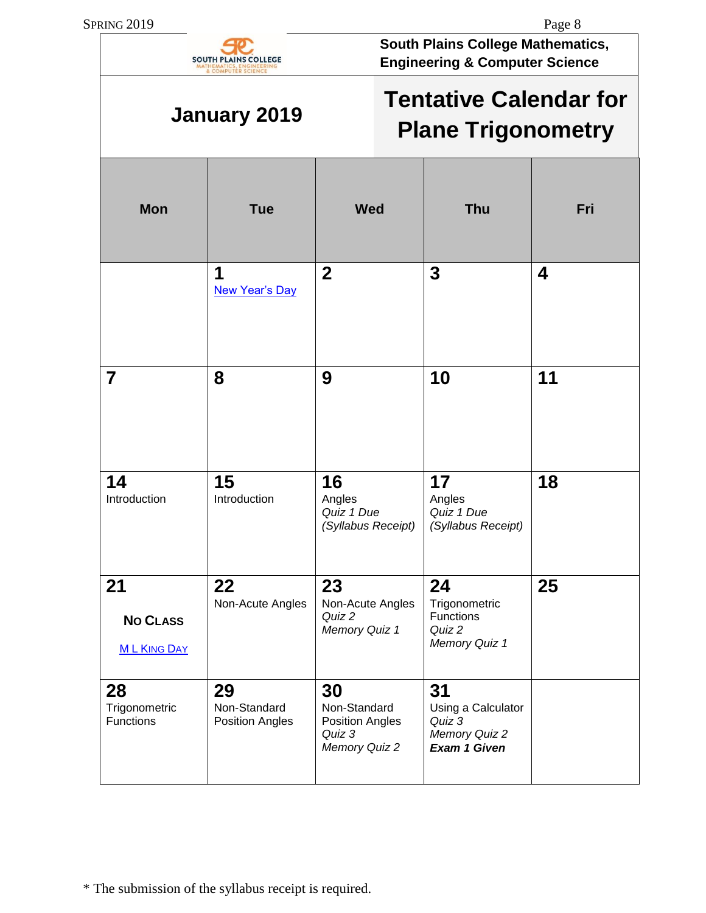

**January 2019**

**South Plains College Mathematics, Engineering & Computer Science**

# **Tentative Calendar for Plane Trigonometry**

| <b>Mon</b>                                  | <b>Tue</b>                                   | <b>Wed</b>                                                       | <b>Thu</b>                                                          | Fri                     |
|---------------------------------------------|----------------------------------------------|------------------------------------------------------------------|---------------------------------------------------------------------|-------------------------|
|                                             | 1<br><b>New Year's Day</b>                   | $\overline{2}$                                                   | $\mathbf{3}$                                                        | $\overline{\mathbf{4}}$ |
| $\overline{7}$                              | 8                                            | 9                                                                | 10                                                                  | 11                      |
| 14<br>Introduction                          | 15<br>Introduction                           | 16<br>Angles<br>Quiz 1 Due<br>(Syllabus Receipt)                 | 17<br>Angles<br>Quiz 1 Due<br>(Syllabus Receipt)                    | 18                      |
| 21<br><b>NO CLASS</b><br><b>ML KING DAY</b> | 22<br>Non-Acute Angles                       | 23<br>Non-Acute Angles<br>Quiz 2<br>Memory Quiz 1                | 24<br>Trigonometric<br>Functions<br>Quiz 2<br>Memory Quiz 1         | 25                      |
| 28<br>Trigonometric<br><b>Functions</b>     | 29<br>Non-Standard<br><b>Position Angles</b> | 30<br>Non-Standard<br>Position Angles<br>Quiz 3<br>Memory Quiz 2 | 31<br>Using a Calculator<br>Quiz 3<br>Memory Quiz 2<br>Exam 1 Given |                         |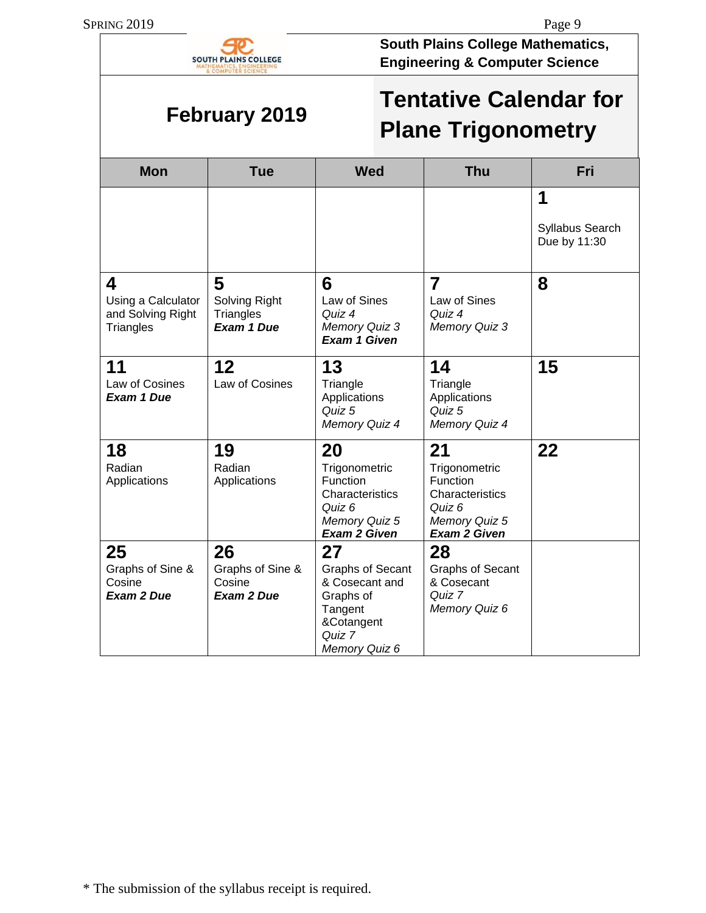

**South Plains College Mathematics, Engineering & Computer Science**

# **February 2019**

| <b>Tentative Calendar for</b> |
|-------------------------------|
| <b>Plane Trigonometry</b>     |

| <b>Mon</b>                                                | <b>Tue</b>                                            | <b>Wed</b>                                                                                                       | <b>Thu</b>                                                                                           | <b>Fri</b>                           |
|-----------------------------------------------------------|-------------------------------------------------------|------------------------------------------------------------------------------------------------------------------|------------------------------------------------------------------------------------------------------|--------------------------------------|
|                                                           |                                                       |                                                                                                                  |                                                                                                      | 1<br>Syllabus Search<br>Due by 11:30 |
| 4<br>Using a Calculator<br>and Solving Right<br>Triangles | 5<br>Solving Right<br>Triangles<br><b>Exam 1 Due</b>  | 6<br>Law of Sines<br>Quiz 4<br>Memory Quiz 3<br><b>Exam 1 Given</b>                                              | 7<br>Law of Sines<br>Quiz 4<br>Memory Quiz 3                                                         | 8                                    |
| 11<br>Law of Cosines<br><b>Exam 1 Due</b>                 | 12<br>Law of Cosines                                  | 13<br>Triangle<br>Applications<br>Quiz 5<br>Memory Quiz 4                                                        | 14<br>Triangle<br>Applications<br>Quiz 5<br>Memory Quiz 4                                            | 15                                   |
| 18<br>Radian<br>Applications                              | 19<br>Radian<br>Applications                          | 20<br>Trigonometric<br>Function<br>Characteristics<br>Quiz 6<br>Memory Quiz 5<br><b>Exam 2 Given</b>             | 21<br>Trigonometric<br>Function<br>Characteristics<br>Quiz 6<br>Memory Quiz 5<br><b>Exam 2 Given</b> | 22                                   |
| 25<br>Graphs of Sine &<br>Cosine<br><b>Exam 2 Due</b>     | 26<br>Graphs of Sine &<br>Cosine<br><b>Exam 2 Due</b> | 27<br><b>Graphs of Secant</b><br>& Cosecant and<br>Graphs of<br>Tangent<br>&Cotangent<br>Quiz 7<br>Memory Quiz 6 | 28<br><b>Graphs of Secant</b><br>& Cosecant<br>Quiz 7<br>Memory Quiz 6                               |                                      |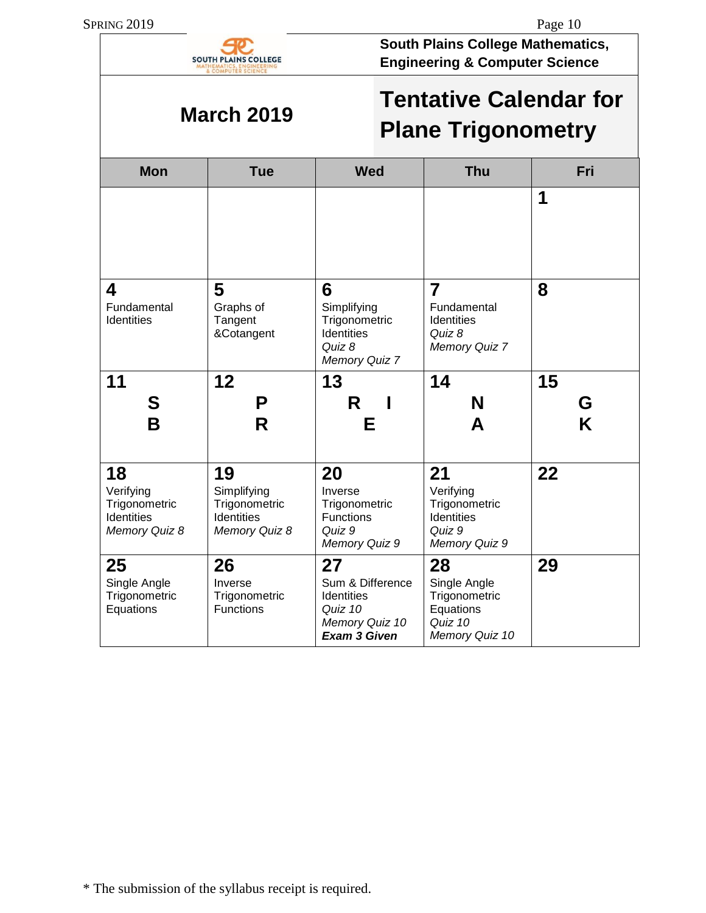

**South Plains College Mathematics, Engineering & Computer Science**

# **March 2019**

| <b>Tentative Calendar for</b> |  |
|-------------------------------|--|
| <b>Plane Trigonometry</b>     |  |

| <b>Mon</b>                                                             | <b>Tue</b>                                                               | <b>Wed</b>                                                                               | <b>Thu</b>                                                                    | Fri |
|------------------------------------------------------------------------|--------------------------------------------------------------------------|------------------------------------------------------------------------------------------|-------------------------------------------------------------------------------|-----|
|                                                                        |                                                                          |                                                                                          |                                                                               | 1   |
| 4<br>Fundamental<br>Identities                                         | 5<br>Graphs of<br>Tangent<br>&Cotangent                                  | 6<br>Simplifying<br>Trigonometric<br><b>Identities</b><br>Quiz 8<br>Memory Quiz 7        | $\overline{7}$<br>Fundamental<br>Identities<br>Quiz 8<br>Memory Quiz 7        | 8   |
| 11                                                                     | 12                                                                       | 13                                                                                       | 14                                                                            | 15  |
| S                                                                      | P                                                                        | R                                                                                        | N                                                                             | G   |
| B                                                                      | R                                                                        | Е                                                                                        | A                                                                             | K   |
| 18<br>Verifying<br>Trigonometric<br><b>Identities</b><br>Memory Quiz 8 | 19<br>Simplifying<br>Trigonometric<br><b>Identities</b><br>Memory Quiz 8 | 20<br>Inverse<br>Trigonometric<br><b>Functions</b><br>Quiz 9<br>Memory Quiz 9            | 21<br>Verifying<br>Trigonometric<br>Identities<br>Quiz 9<br>Memory Quiz 9     | 22  |
| 25<br>Single Angle<br>Trigonometric<br>Equations                       | 26<br>Inverse<br>Trigonometric<br><b>Functions</b>                       | 27<br>Sum & Difference<br>Identities<br>Quiz 10<br>Memory Quiz 10<br><b>Exam 3 Given</b> | 28<br>Single Angle<br>Trigonometric<br>Equations<br>Quiz 10<br>Memory Quiz 10 | 29  |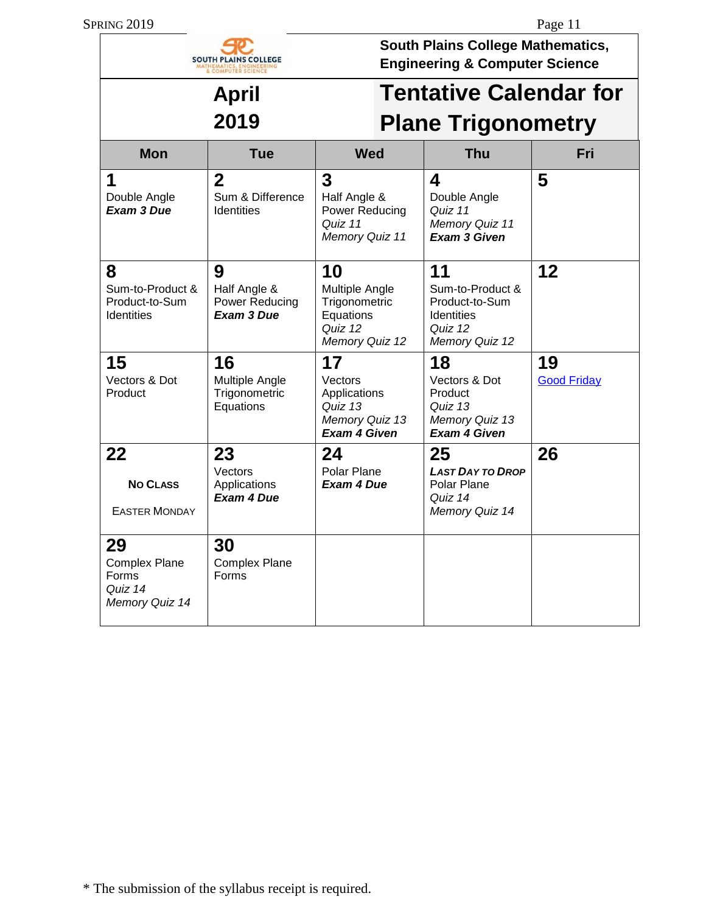|                                                                  | <b>SOUTH PLAINS COLLEGE</b><br>OMPUTER SCIENCE          |                                                                                   | <b>South Plains College Mathematics,</b><br><b>Engineering &amp; Computer Science</b>      |                          |  |
|------------------------------------------------------------------|---------------------------------------------------------|-----------------------------------------------------------------------------------|--------------------------------------------------------------------------------------------|--------------------------|--|
| <b>April</b>                                                     |                                                         | <b>Tentative Calendar for</b>                                                     |                                                                                            |                          |  |
|                                                                  | 2019                                                    |                                                                                   | <b>Plane Trigonometry</b>                                                                  |                          |  |
| <b>Mon</b>                                                       | <b>Tue</b>                                              | <b>Wed</b>                                                                        | <b>Thu</b>                                                                                 | Fri                      |  |
| 1<br>Double Angle<br>Exam 3 Due                                  | $\overline{2}$<br>Sum & Difference<br><b>Identities</b> | 3<br>Half Angle &<br>Power Reducing<br>Quiz 11<br>Memory Quiz 11                  | 4<br>Double Angle<br>Quiz 11<br>Memory Quiz 11<br><b>Exam 3 Given</b>                      | 5                        |  |
| 8<br>Sum-to-Product &<br>Product-to-Sum<br><b>Identities</b>     | 9<br>Half Angle &<br>Power Reducing<br>Exam 3 Due       | 10<br>Multiple Angle<br>Trigonometric<br>Equations<br>Quiz 12<br>Memory Quiz 12   | 11<br>Sum-to-Product &<br>Product-to-Sum<br><b>Identities</b><br>Quiz 12<br>Memory Quiz 12 | 12                       |  |
| 15<br>Vectors & Dot<br>Product                                   | 16<br>Multiple Angle<br>Trigonometric<br>Equations      | 17<br>Vectors<br>Applications<br>Quiz 13<br>Memory Quiz 13<br><b>Exam 4 Given</b> | 18<br>Vectors & Dot<br>Product<br>Quiz 13<br>Memory Quiz 13<br><b>Exam 4 Given</b>         | 19<br><b>Good Friday</b> |  |
| 22<br><b>NO CLASS</b><br><b>EASTER MONDAY</b>                    | 23<br>Vectors<br>Applications<br><b>Exam 4 Due</b>      | 24<br>Polar Plane<br><b>Exam 4 Due</b>                                            | 25<br><b>LAST DAY TO DROP</b><br>Polar Plane<br>Quiz 14<br>Memory Quiz 14                  | 26                       |  |
| 29<br><b>Complex Plane</b><br>Forms<br>Quiz 14<br>Memory Quiz 14 | 30<br><b>Complex Plane</b><br>Forms                     |                                                                                   |                                                                                            |                          |  |